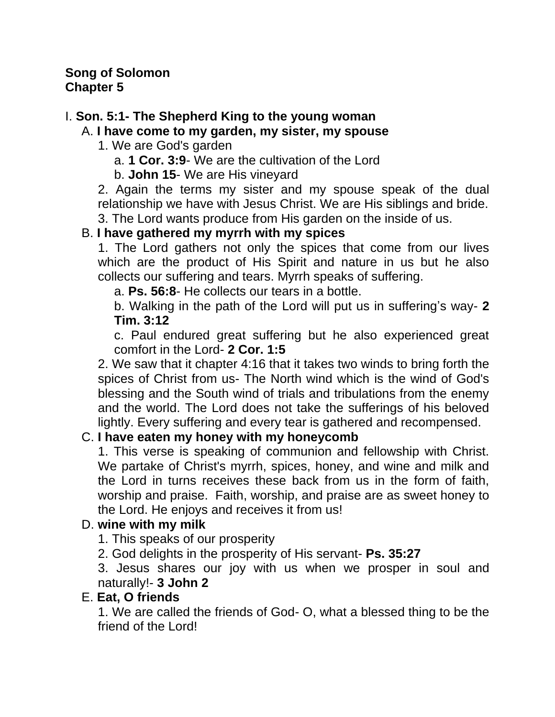## **Song of Solomon Chapter 5**

# I. **Son. 5:1- The Shepherd King to the young woman**

# A. **I have come to my garden, my sister, my spouse**

- 1. We are God's garden
	- a. **1 Cor. 3:9** We are the cultivation of the Lord
	- b. **John 15** We are His vineyard

2. Again the terms my sister and my spouse speak of the dual relationship we have with Jesus Christ. We are His siblings and bride.

3. The Lord wants produce from His garden on the inside of us.

# B. **I have gathered my myrrh with my spices**

1. The Lord gathers not only the spices that come from our lives which are the product of His Spirit and nature in us but he also collects our suffering and tears. Myrrh speaks of suffering.

a. **Ps. 56:8**- He collects our tears in a bottle.

b. Walking in the path of the Lord will put us in suffering's way- **2 Tim. 3:12**

c. Paul endured great suffering but he also experienced great comfort in the Lord- **2 Cor. 1:5**

2. We saw that it chapter 4:16 that it takes two winds to bring forth the spices of Christ from us- The North wind which is the wind of God's blessing and the South wind of trials and tribulations from the enemy and the world. The Lord does not take the sufferings of his beloved lightly. Every suffering and every tear is gathered and recompensed.

# C. **I have eaten my honey with my honeycomb**

1. This verse is speaking of communion and fellowship with Christ. We partake of Christ's myrrh, spices, honey, and wine and milk and the Lord in turns receives these back from us in the form of faith, worship and praise. Faith, worship, and praise are as sweet honey to the Lord. He enjoys and receives it from us!

# D. **wine with my milk**

1. This speaks of our prosperity

2. God delights in the prosperity of His servant- **Ps. 35:27**

3. Jesus shares our joy with us when we prosper in soul and naturally!- **3 John 2**

# E. **Eat, O friends**

1. We are called the friends of God- O, what a blessed thing to be the friend of the Lord!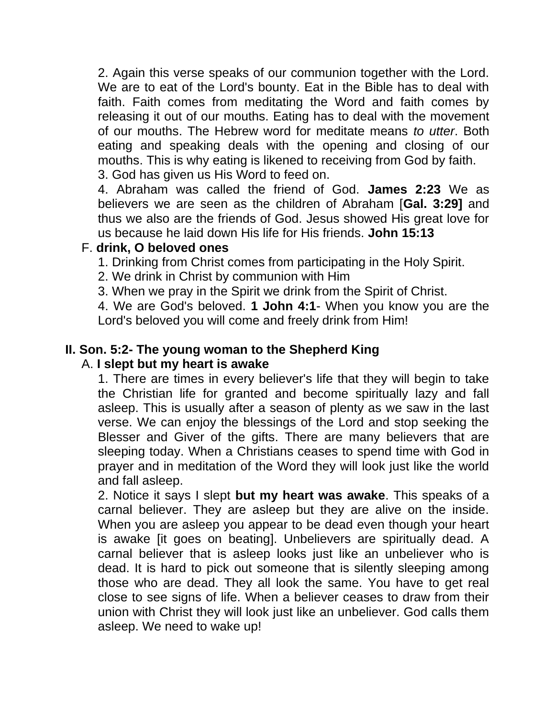2. Again this verse speaks of our communion together with the Lord. We are to eat of the Lord's bounty. Eat in the Bible has to deal with faith. Faith comes from meditating the Word and faith comes by releasing it out of our mouths. Eating has to deal with the movement of our mouths. The Hebrew word for meditate means *to utter*. Both eating and speaking deals with the opening and closing of our mouths. This is why eating is likened to receiving from God by faith. 3. God has given us His Word to feed on.

4. Abraham was called the friend of God. **James 2:23** We as believers we are seen as the children of Abraham [**Gal. 3:29]** and thus we also are the friends of God. Jesus showed His great love for us because he laid down His life for His friends. **John 15:13**

## F. **drink, O beloved ones**

1. Drinking from Christ comes from participating in the Holy Spirit.

2. We drink in Christ by communion with Him

3. When we pray in the Spirit we drink from the Spirit of Christ.

4. We are God's beloved. **1 John 4:1**- When you know you are the Lord's beloved you will come and freely drink from Him!

## **II. Son. 5:2- The young woman to the Shepherd King**

#### A. **I slept but my heart is awake**

1. There are times in every believer's life that they will begin to take the Christian life for granted and become spiritually lazy and fall asleep. This is usually after a season of plenty as we saw in the last verse. We can enjoy the blessings of the Lord and stop seeking the Blesser and Giver of the gifts. There are many believers that are sleeping today. When a Christians ceases to spend time with God in prayer and in meditation of the Word they will look just like the world and fall asleep.

2. Notice it says I slept **but my heart was awake**. This speaks of a carnal believer. They are asleep but they are alive on the inside. When you are asleep you appear to be dead even though your heart is awake [it goes on beating]. Unbelievers are spiritually dead. A carnal believer that is asleep looks just like an unbeliever who is dead. It is hard to pick out someone that is silently sleeping among those who are dead. They all look the same. You have to get real close to see signs of life. When a believer ceases to draw from their union with Christ they will look just like an unbeliever. God calls them asleep. We need to wake up!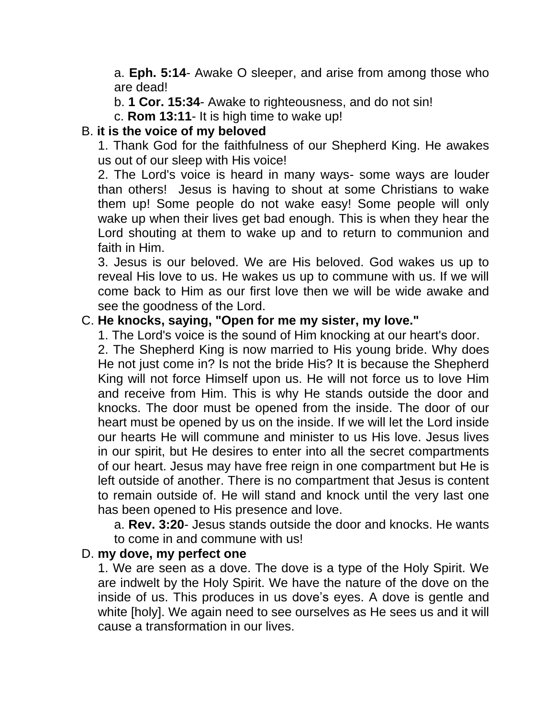a. **Eph. 5:14**- Awake O sleeper, and arise from among those who are dead!

b. **1 Cor. 15:34**- Awake to righteousness, and do not sin!

c. **Rom 13:11**- It is high time to wake up!

## B. **it is the voice of my beloved**

1. Thank God for the faithfulness of our Shepherd King. He awakes us out of our sleep with His voice!

2. The Lord's voice is heard in many ways- some ways are louder than others! Jesus is having to shout at some Christians to wake them up! Some people do not wake easy! Some people will only wake up when their lives get bad enough. This is when they hear the Lord shouting at them to wake up and to return to communion and faith in Him.

3. Jesus is our beloved. We are His beloved. God wakes us up to reveal His love to us. He wakes us up to commune with us. If we will come back to Him as our first love then we will be wide awake and see the goodness of the Lord.

## C. **He knocks, saying, "Open for me my sister, my love."**

1. The Lord's voice is the sound of Him knocking at our heart's door.

2. The Shepherd King is now married to His young bride. Why does He not just come in? Is not the bride His? It is because the Shepherd King will not force Himself upon us. He will not force us to love Him and receive from Him. This is why He stands outside the door and knocks. The door must be opened from the inside. The door of our heart must be opened by us on the inside. If we will let the Lord inside our hearts He will commune and minister to us His love. Jesus lives in our spirit, but He desires to enter into all the secret compartments of our heart. Jesus may have free reign in one compartment but He is left outside of another. There is no compartment that Jesus is content to remain outside of. He will stand and knock until the very last one has been opened to His presence and love.

a. **Rev. 3:20**- Jesus stands outside the door and knocks. He wants to come in and commune with us!

#### D. **my dove, my perfect one**

1. We are seen as a dove. The dove is a type of the Holy Spirit. We are indwelt by the Holy Spirit. We have the nature of the dove on the inside of us. This produces in us dove's eyes. A dove is gentle and white [holy]. We again need to see ourselves as He sees us and it will cause a transformation in our lives.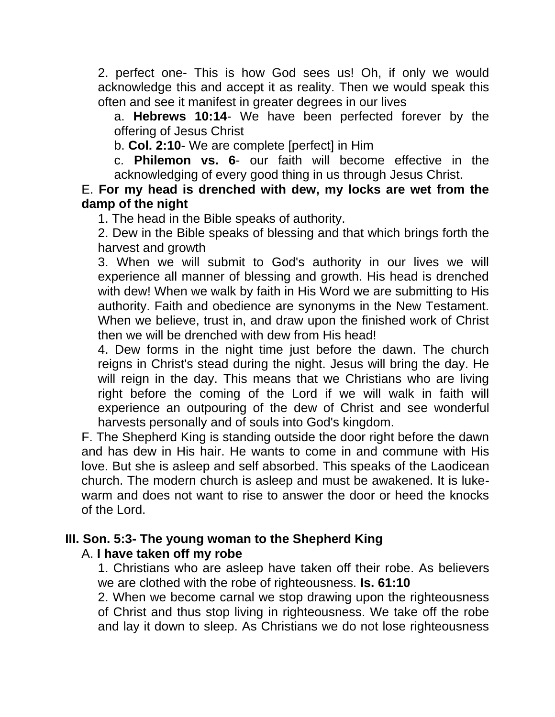2. perfect one- This is how God sees us! Oh, if only we would acknowledge this and accept it as reality. Then we would speak this often and see it manifest in greater degrees in our lives

a. **Hebrews 10:14**- We have been perfected forever by the offering of Jesus Christ

b. **Col. 2:10**- We are complete [perfect] in Him

c. **Philemon vs. 6**- our faith will become effective in the acknowledging of every good thing in us through Jesus Christ.

E. **For my head is drenched with dew, my locks are wet from the damp of the night**

1. The head in the Bible speaks of authority.

2. Dew in the Bible speaks of blessing and that which brings forth the harvest and growth

3. When we will submit to God's authority in our lives we will experience all manner of blessing and growth. His head is drenched with dew! When we walk by faith in His Word we are submitting to His authority. Faith and obedience are synonyms in the New Testament. When we believe, trust in, and draw upon the finished work of Christ then we will be drenched with dew from His head!

4. Dew forms in the night time just before the dawn. The church reigns in Christ's stead during the night. Jesus will bring the day. He will reign in the day. This means that we Christians who are living right before the coming of the Lord if we will walk in faith will experience an outpouring of the dew of Christ and see wonderful harvests personally and of souls into God's kingdom.

F. The Shepherd King is standing outside the door right before the dawn and has dew in His hair. He wants to come in and commune with His love. But she is asleep and self absorbed. This speaks of the Laodicean church. The modern church is asleep and must be awakened. It is lukewarm and does not want to rise to answer the door or heed the knocks of the Lord.

#### **III. Son. 5:3- The young woman to the Shepherd King**

#### A. **I have taken off my robe**

1. Christians who are asleep have taken off their robe. As believers we are clothed with the robe of righteousness. **Is. 61:10**

2. When we become carnal we stop drawing upon the righteousness of Christ and thus stop living in righteousness. We take off the robe and lay it down to sleep. As Christians we do not lose righteousness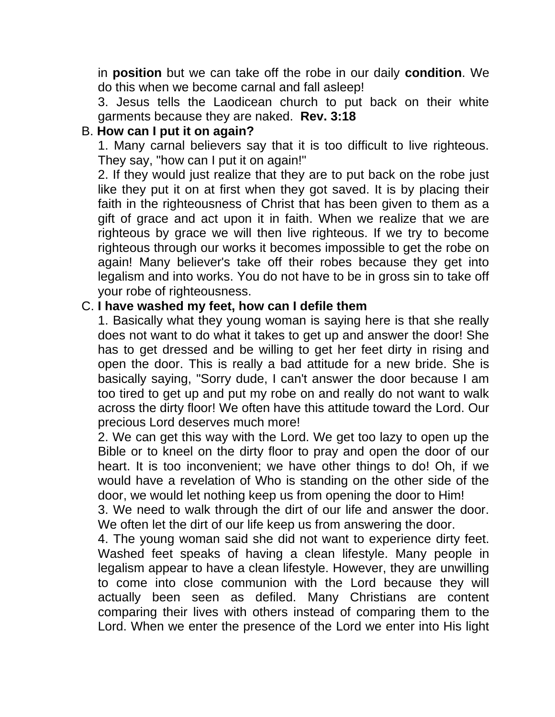in **position** but we can take off the robe in our daily **condition**. We do this when we become carnal and fall asleep!

3. Jesus tells the Laodicean church to put back on their white garments because they are naked. **Rev. 3:18**

## B. **How can I put it on again?**

1. Many carnal believers say that it is too difficult to live righteous. They say, "how can I put it on again!"

2. If they would just realize that they are to put back on the robe just like they put it on at first when they got saved. It is by placing their faith in the righteousness of Christ that has been given to them as a gift of grace and act upon it in faith. When we realize that we are righteous by grace we will then live righteous. If we try to become righteous through our works it becomes impossible to get the robe on again! Many believer's take off their robes because they get into legalism and into works. You do not have to be in gross sin to take off your robe of righteousness.

#### C. **I have washed my feet, how can I defile them**

1. Basically what they young woman is saying here is that she really does not want to do what it takes to get up and answer the door! She has to get dressed and be willing to get her feet dirty in rising and open the door. This is really a bad attitude for a new bride. She is basically saying, "Sorry dude, I can't answer the door because I am too tired to get up and put my robe on and really do not want to walk across the dirty floor! We often have this attitude toward the Lord. Our precious Lord deserves much more!

2. We can get this way with the Lord. We get too lazy to open up the Bible or to kneel on the dirty floor to pray and open the door of our heart. It is too inconvenient; we have other things to do! Oh, if we would have a revelation of Who is standing on the other side of the door, we would let nothing keep us from opening the door to Him!

3. We need to walk through the dirt of our life and answer the door. We often let the dirt of our life keep us from answering the door.

4. The young woman said she did not want to experience dirty feet. Washed feet speaks of having a clean lifestyle. Many people in legalism appear to have a clean lifestyle. However, they are unwilling to come into close communion with the Lord because they will actually been seen as defiled. Many Christians are content comparing their lives with others instead of comparing them to the Lord. When we enter the presence of the Lord we enter into His light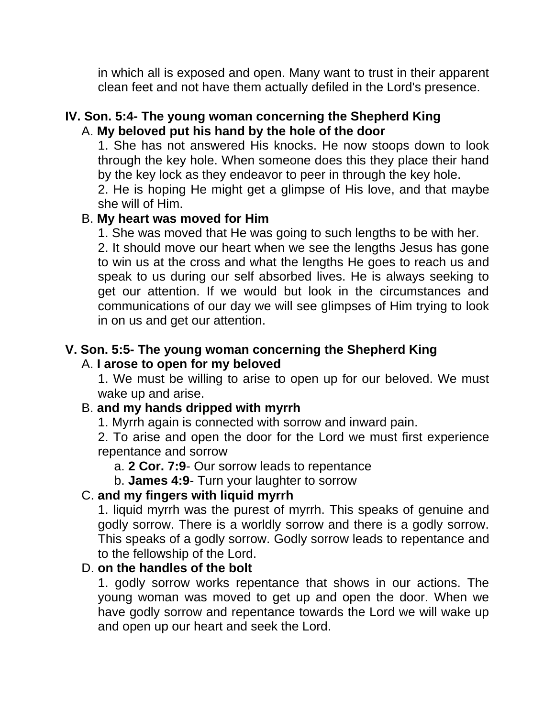in which all is exposed and open. Many want to trust in their apparent clean feet and not have them actually defiled in the Lord's presence.

#### **IV. Son. 5:4- The young woman concerning the Shepherd King** A. **My beloved put his hand by the hole of the door**

1. She has not answered His knocks. He now stoops down to look through the key hole. When someone does this they place their hand by the key lock as they endeavor to peer in through the key hole.

2. He is hoping He might get a glimpse of His love, and that maybe she will of Him.

#### B. **My heart was moved for Him**

1. She was moved that He was going to such lengths to be with her. 2. It should move our heart when we see the lengths Jesus has gone to win us at the cross and what the lengths He goes to reach us and speak to us during our self absorbed lives. He is always seeking to get our attention. If we would but look in the circumstances and communications of our day we will see glimpses of Him trying to look in on us and get our attention.

#### **V. Son. 5:5- The young woman concerning the Shepherd King** A. **I arose to open for my beloved**

1. We must be willing to arise to open up for our beloved. We must wake up and arise.

# B. **and my hands dripped with myrrh**

1. Myrrh again is connected with sorrow and inward pain.

2. To arise and open the door for the Lord we must first experience repentance and sorrow

a. **2 Cor. 7:9**- Our sorrow leads to repentance

b. **James 4:9**- Turn your laughter to sorrow

# C. **and my fingers with liquid myrrh**

1. liquid myrrh was the purest of myrrh. This speaks of genuine and godly sorrow. There is a worldly sorrow and there is a godly sorrow. This speaks of a godly sorrow. Godly sorrow leads to repentance and to the fellowship of the Lord.

# D. **on the handles of the bolt**

1. godly sorrow works repentance that shows in our actions. The young woman was moved to get up and open the door. When we have godly sorrow and repentance towards the Lord we will wake up and open up our heart and seek the Lord.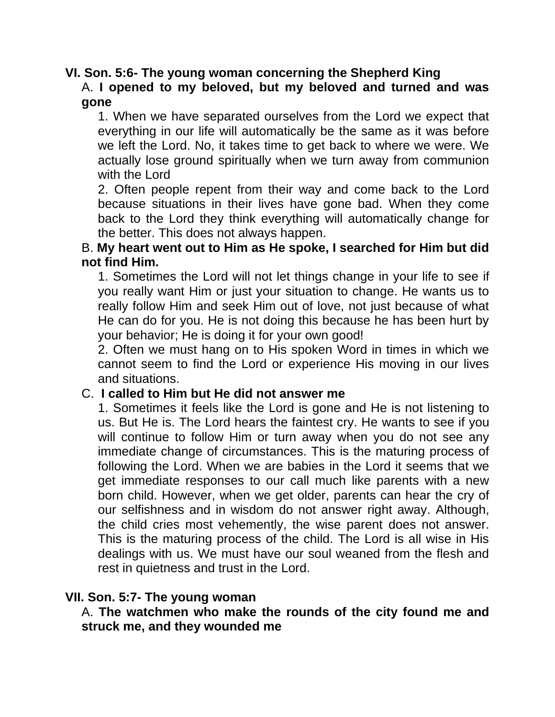#### **VI. Son. 5:6- The young woman concerning the Shepherd King**

#### A. **I opened to my beloved, but my beloved and turned and was gone**

1. When we have separated ourselves from the Lord we expect that everything in our life will automatically be the same as it was before we left the Lord. No, it takes time to get back to where we were. We actually lose ground spiritually when we turn away from communion with the Lord

2. Often people repent from their way and come back to the Lord because situations in their lives have gone bad. When they come back to the Lord they think everything will automatically change for the better. This does not always happen.

#### B. **My heart went out to Him as He spoke, I searched for Him but did not find Him.**

1. Sometimes the Lord will not let things change in your life to see if you really want Him or just your situation to change. He wants us to really follow Him and seek Him out of love, not just because of what He can do for you. He is not doing this because he has been hurt by your behavior; He is doing it for your own good!

2. Often we must hang on to His spoken Word in times in which we cannot seem to find the Lord or experience His moving in our lives and situations.

#### C. **I called to Him but He did not answer me**

1. Sometimes it feels like the Lord is gone and He is not listening to us. But He is. The Lord hears the faintest cry. He wants to see if you will continue to follow Him or turn away when you do not see any immediate change of circumstances. This is the maturing process of following the Lord. When we are babies in the Lord it seems that we get immediate responses to our call much like parents with a new born child. However, when we get older, parents can hear the cry of our selfishness and in wisdom do not answer right away. Although, the child cries most vehemently, the wise parent does not answer. This is the maturing process of the child. The Lord is all wise in His dealings with us. We must have our soul weaned from the flesh and rest in quietness and trust in the Lord.

#### **VII. Son. 5:7- The young woman**

#### A. **The watchmen who make the rounds of the city found me and struck me, and they wounded me**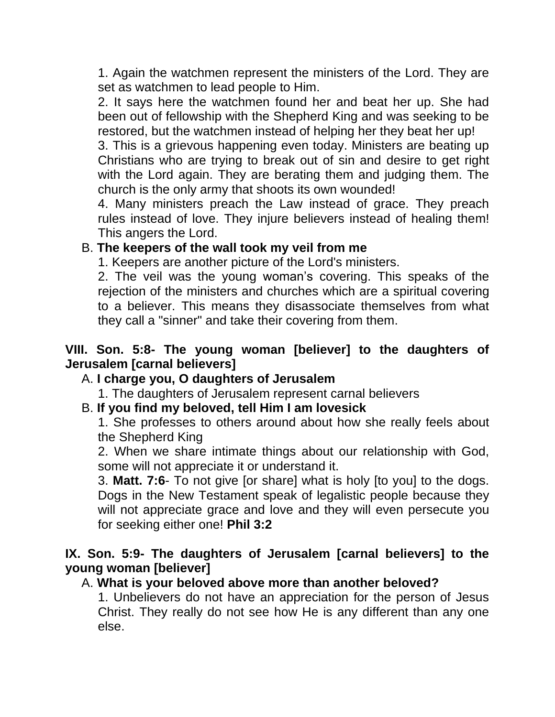1. Again the watchmen represent the ministers of the Lord. They are set as watchmen to lead people to Him.

2. It says here the watchmen found her and beat her up. She had been out of fellowship with the Shepherd King and was seeking to be restored, but the watchmen instead of helping her they beat her up!

3. This is a grievous happening even today. Ministers are beating up Christians who are trying to break out of sin and desire to get right with the Lord again. They are berating them and judging them. The church is the only army that shoots its own wounded!

4. Many ministers preach the Law instead of grace. They preach rules instead of love. They injure believers instead of healing them! This angers the Lord.

## B. **The keepers of the wall took my veil from me**

1. Keepers are another picture of the Lord's ministers.

2. The veil was the young woman's covering. This speaks of the rejection of the ministers and churches which are a spiritual covering to a believer. This means they disassociate themselves from what they call a "sinner" and take their covering from them.

## **VIII. Son. 5:8- The young woman [believer] to the daughters of Jerusalem [carnal believers]**

# A. **I charge you, O daughters of Jerusalem**

1. The daughters of Jerusalem represent carnal believers

# B. **If you find my beloved, tell Him I am lovesick**

1. She professes to others around about how she really feels about the Shepherd King

2. When we share intimate things about our relationship with God, some will not appreciate it or understand it.

3. **Matt. 7:6**- To not give [or share] what is holy [to you] to the dogs. Dogs in the New Testament speak of legalistic people because they will not appreciate grace and love and they will even persecute you for seeking either one! **Phil 3:2**

## **IX. Son. 5:9- The daughters of Jerusalem [carnal believers] to the young woman [believer]**

#### A. **What is your beloved above more than another beloved?**

1. Unbelievers do not have an appreciation for the person of Jesus Christ. They really do not see how He is any different than any one else.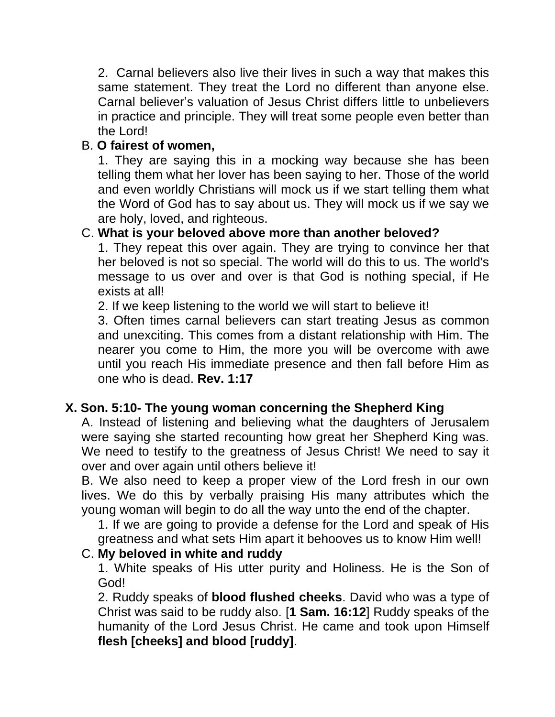2. Carnal believers also live their lives in such a way that makes this same statement. They treat the Lord no different than anyone else. Carnal believer's valuation of Jesus Christ differs little to unbelievers in practice and principle. They will treat some people even better than the Lord!

# B. **O fairest of women,**

1. They are saying this in a mocking way because she has been telling them what her lover has been saying to her. Those of the world and even worldly Christians will mock us if we start telling them what the Word of God has to say about us. They will mock us if we say we are holy, loved, and righteous.

# C. **What is your beloved above more than another beloved?**

1. They repeat this over again. They are trying to convince her that her beloved is not so special. The world will do this to us. The world's message to us over and over is that God is nothing special, if He exists at all!

2. If we keep listening to the world we will start to believe it!

3. Often times carnal believers can start treating Jesus as common and unexciting. This comes from a distant relationship with Him. The nearer you come to Him, the more you will be overcome with awe until you reach His immediate presence and then fall before Him as one who is dead. **Rev. 1:17**

# **X. Son. 5:10- The young woman concerning the Shepherd King**

A. Instead of listening and believing what the daughters of Jerusalem were saying she started recounting how great her Shepherd King was. We need to testify to the greatness of Jesus Christ! We need to say it over and over again until others believe it!

B. We also need to keep a proper view of the Lord fresh in our own lives. We do this by verbally praising His many attributes which the young woman will begin to do all the way unto the end of the chapter.

1. If we are going to provide a defense for the Lord and speak of His greatness and what sets Him apart it behooves us to know Him well!

#### C. **My beloved in white and ruddy**

1. White speaks of His utter purity and Holiness. He is the Son of God!

2. Ruddy speaks of **blood flushed cheeks**. David who was a type of Christ was said to be ruddy also. [**1 Sam. 16:12**] Ruddy speaks of the humanity of the Lord Jesus Christ. He came and took upon Himself **flesh [cheeks] and blood [ruddy]**.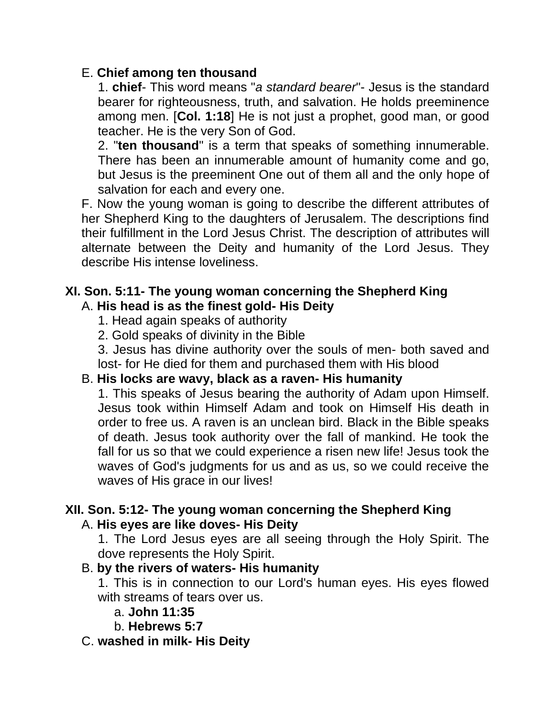## E. **Chief among ten thousand**

1. **chief**- This word means "*a standard bearer*"- Jesus is the standard bearer for righteousness, truth, and salvation. He holds preeminence among men. [**Col. 1:18**] He is not just a prophet, good man, or good teacher. He is the very Son of God.

2. "**ten thousand**" is a term that speaks of something innumerable. There has been an innumerable amount of humanity come and go, but Jesus is the preeminent One out of them all and the only hope of salvation for each and every one.

F. Now the young woman is going to describe the different attributes of her Shepherd King to the daughters of Jerusalem. The descriptions find their fulfillment in the Lord Jesus Christ. The description of attributes will alternate between the Deity and humanity of the Lord Jesus. They describe His intense loveliness.

#### **XI. Son. 5:11- The young woman concerning the Shepherd King** A. **His head is as the finest gold- His Deity**

- 1. Head again speaks of authority
- 2. Gold speaks of divinity in the Bible

3. Jesus has divine authority over the souls of men- both saved and lost- for He died for them and purchased them with His blood

# B. **His locks are wavy, black as a raven- His humanity**

1. This speaks of Jesus bearing the authority of Adam upon Himself. Jesus took within Himself Adam and took on Himself His death in order to free us. A raven is an unclean bird. Black in the Bible speaks of death. Jesus took authority over the fall of mankind. He took the fall for us so that we could experience a risen new life! Jesus took the waves of God's judgments for us and as us, so we could receive the waves of His grace in our lives!

# **XII. Son. 5:12- The young woman concerning the Shepherd King**

#### A. **His eyes are like doves- His Deity**

1. The Lord Jesus eyes are all seeing through the Holy Spirit. The dove represents the Holy Spirit.

# B. **by the rivers of waters- His humanity**

1. This is in connection to our Lord's human eyes. His eyes flowed with streams of tears over us.

a. **John 11:35**

b. **Hebrews 5:7**

#### C. **washed in milk- His Deity**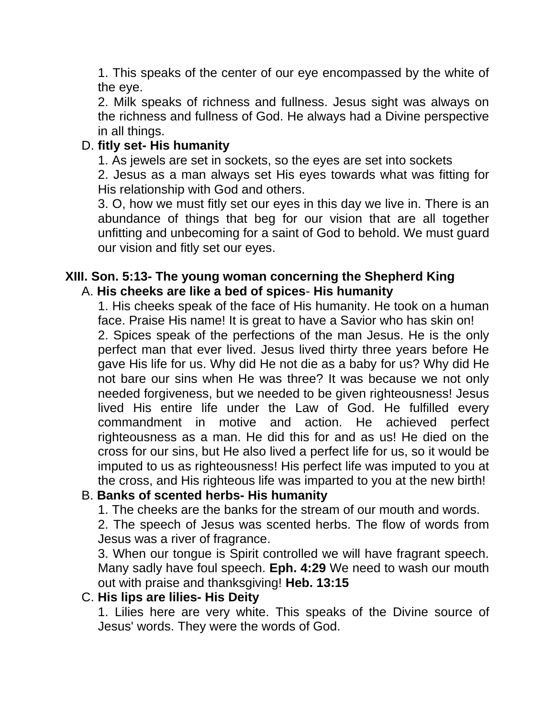1. This speaks of the center of our eye encompassed by the white of the eye.

2. Milk speaks of richness and fullness. Jesus sight was always on the richness and fullness of God. He always had a Divine perspective in all things.

## D. **fitly set- His humanity**

1. As jewels are set in sockets, so the eyes are set into sockets

2. Jesus as a man always set His eyes towards what was fitting for His relationship with God and others.

3. O, how we must fitly set our eyes in this day we live in. There is an abundance of things that beg for our vision that are all together unfitting and unbecoming for a saint of God to behold. We must guard our vision and fitly set our eyes.

#### **XIII. Son. 5:13- The young woman concerning the Shepherd King** A. **His cheeks are like a bed of spices**- **His humanity**

1. His cheeks speak of the face of His humanity. He took on a human face. Praise His name! It is great to have a Savior who has skin on! 2. Spices speak of the perfections of the man Jesus. He is the only perfect man that ever lived. Jesus lived thirty three years before He gave His life for us. Why did He not die as a baby for us? Why did He not bare our sins when He was three? It was because we not only needed forgiveness, but we needed to be given righteousness! Jesus lived His entire life under the Law of God. He fulfilled every commandment in motive and action. He achieved perfect righteousness as a man. He did this for and as us! He died on the cross for our sins, but He also lived a perfect life for us, so it would be imputed to us as righteousness! His perfect life was imputed to you at the cross, and His righteous life was imparted to you at the new birth!

# B. **Banks of scented herbs- His humanity**

1. The cheeks are the banks for the stream of our mouth and words.

2. The speech of Jesus was scented herbs. The flow of words from Jesus was a river of fragrance.

3. When our tongue is Spirit controlled we will have fragrant speech. Many sadly have foul speech. **Eph. 4:29** We need to wash our mouth out with praise and thanksgiving! **Heb. 13:15**

#### C. **His lips are lilies- His Deity**

1. Lilies here are very white. This speaks of the Divine source of Jesus' words. They were the words of God.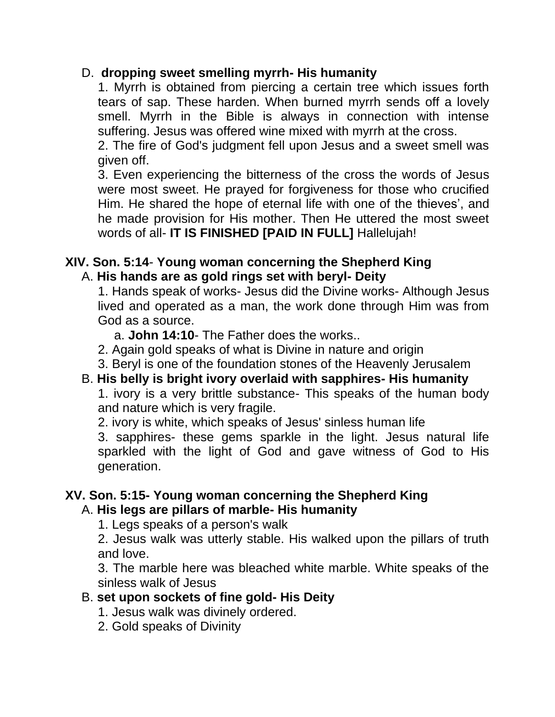## D. **dropping sweet smelling myrrh- His humanity**

1. Myrrh is obtained from piercing a certain tree which issues forth tears of sap. These harden. When burned myrrh sends off a lovely smell. Myrrh in the Bible is always in connection with intense suffering. Jesus was offered wine mixed with myrrh at the cross.

2. The fire of God's judgment fell upon Jesus and a sweet smell was given off.

3. Even experiencing the bitterness of the cross the words of Jesus were most sweet. He prayed for forgiveness for those who crucified Him. He shared the hope of eternal life with one of the thieves', and he made provision for His mother. Then He uttered the most sweet words of all- **IT IS FINISHED [PAID IN FULL]** Hallelujah!

#### **XIV. Son. 5:14**- **Young woman concerning the Shepherd King** A. **His hands are as gold rings set with beryl- Deity**

1. Hands speak of works- Jesus did the Divine works- Although Jesus lived and operated as a man, the work done through Him was from God as a source.

a. **John 14:10**- The Father does the works..

- 2. Again gold speaks of what is Divine in nature and origin
- 3. Beryl is one of the foundation stones of the Heavenly Jerusalem

#### B. **His belly is bright ivory overlaid with sapphires- His humanity**

1. ivory is a very brittle substance- This speaks of the human body and nature which is very fragile.

2. ivory is white, which speaks of Jesus' sinless human life

3. sapphires- these gems sparkle in the light. Jesus natural life sparkled with the light of God and gave witness of God to His generation.

#### **XV. Son. 5:15- Young woman concerning the Shepherd King** A. **His legs are pillars of marble- His humanity**

1. Legs speaks of a person's walk

2. Jesus walk was utterly stable. His walked upon the pillars of truth and love.

3. The marble here was bleached white marble. White speaks of the sinless walk of Jesus

#### B. **set upon sockets of fine gold- His Deity**

- 1. Jesus walk was divinely ordered.
- 2. Gold speaks of Divinity